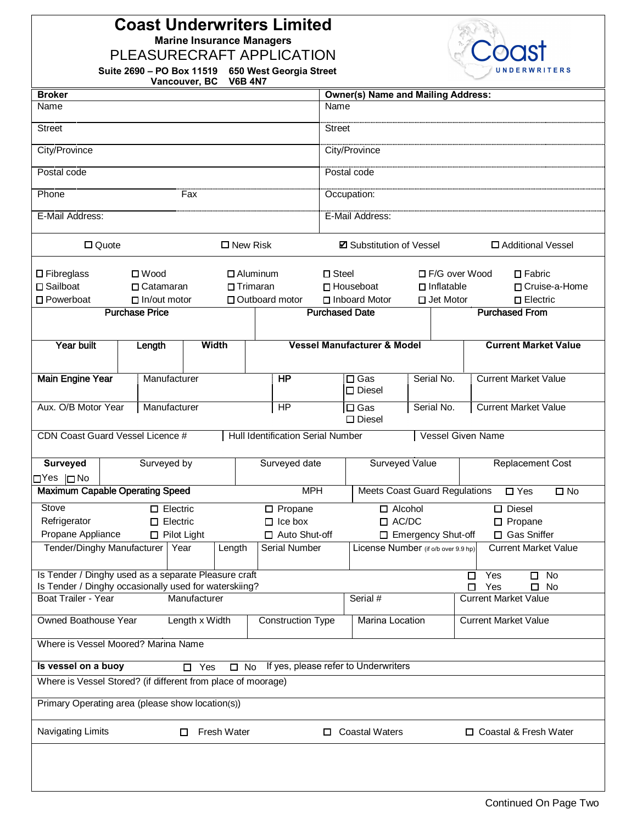## **Coast Underwriters Limited Marine Insurance Managers**

PLEASURECRAFT APPLICATION

**Suite 2690 – PO Box 11519 650 West Georgia Street** 



| Suite 2690 – PO BOX 11519 – 650 West Georgia Stree |  |
|----------------------------------------------------|--|
| Vancouver, BC V6B 4N7                              |  |

| <b>Broker</b>                                                                                                 |                                                                                                   |                         |                                   |                 | <b>Owner(s) Name and Mailing Address:</b> |            |                      |                                    |                             |
|---------------------------------------------------------------------------------------------------------------|---------------------------------------------------------------------------------------------------|-------------------------|-----------------------------------|-----------------|-------------------------------------------|------------|----------------------|------------------------------------|-----------------------------|
| Name                                                                                                          |                                                                                                   |                         |                                   | Name            |                                           |            |                      |                                    |                             |
| <b>Street</b>                                                                                                 |                                                                                                   |                         |                                   | <b>Street</b>   |                                           |            |                      |                                    |                             |
| City/Province                                                                                                 |                                                                                                   |                         |                                   |                 | City/Province                             |            |                      |                                    |                             |
| Postal code                                                                                                   |                                                                                                   |                         |                                   |                 | Postal code                               |            |                      |                                    |                             |
| Phone                                                                                                         |                                                                                                   | Fax                     |                                   |                 | Occupation:                               |            |                      |                                    |                             |
| E-Mail Address:                                                                                               |                                                                                                   |                         |                                   |                 | E-Mail Address:                           |            |                      |                                    |                             |
| $\Box$ Quote                                                                                                  |                                                                                                   |                         | $\square$ New Risk                |                 | <b>Z</b> Substitution of Vessel           |            |                      |                                    | □ Additional Vessel         |
| $\square$ Fibreglass                                                                                          | $\square$ Wood                                                                                    |                         | $\Box$ Aluminum                   | $\square$ Steel |                                           |            | $\Box$ F/G over Wood |                                    | $\Box$ Fabric               |
| □ Sailboat                                                                                                    | □ Catamaran                                                                                       |                         | $\Box$ Trimaran                   |                 | $\Box$ Inflatable<br>$\Box$ Houseboat     |            |                      | □ Cruise-a-Home                    |                             |
| □ Powerboat                                                                                                   | $\Box$ In/out motor                                                                               |                         | □ Outboard motor                  |                 | □ Inboard Motor                           |            | □ Jet Motor          |                                    | $\square$ Electric          |
|                                                                                                               | <b>Purchase Price</b>                                                                             |                         |                                   |                 | <b>Purchased Date</b>                     |            |                      | <b>Purchased From</b>              |                             |
|                                                                                                               |                                                                                                   |                         |                                   |                 |                                           |            |                      |                                    |                             |
| Year built                                                                                                    | Length                                                                                            | <b>Width</b>            |                                   |                 | <b>Vessel Manufacturer &amp; Model</b>    |            |                      |                                    | <b>Current Market Value</b> |
| <b>Main Engine Year</b>                                                                                       | Manufacturer                                                                                      |                         | <b>HP</b>                         |                 | $\Box$ Gas<br>$\square$ Diesel            | Serial No. |                      | <b>Current Market Value</b>        |                             |
| Aux. O/B Motor Year                                                                                           | Manufacturer                                                                                      |                         | HP                                |                 | $\Box$ Gas<br>$\square$ Diesel            | Serial No. |                      | <b>Current Market Value</b>        |                             |
|                                                                                                               | CDN Coast Guard Vessel Licence #<br>Hull Identification Serial Number<br><b>Vessel Given Name</b> |                         |                                   |                 |                                           |            |                      |                                    |                             |
| Surveyed                                                                                                      | Surveyed by                                                                                       |                         | Surveyed date                     |                 | <b>Surveyed Value</b>                     |            |                      |                                    | <b>Replacement Cost</b>     |
| OYes  □No<br><b>Maximum Capable Operating Speed</b>                                                           |                                                                                                   |                         | <b>MPH</b>                        |                 | <b>Meets Coast Guard Regulations</b>      |            |                      | $\Box$ Yes                         | $\square$ No                |
| Stove                                                                                                         | $\Box$ Electric                                                                                   |                         |                                   |                 | $\Box$ Alcohol                            |            |                      | $\square$ Diesel                   |                             |
| Refrigerator                                                                                                  | $\Box$ Electric                                                                                   |                         | $\square$ Propane                 |                 |                                           |            |                      |                                    |                             |
| Propane Appliance                                                                                             | $\Box$ Pilot Light                                                                                |                         | $\Box$ Ice box<br>□ Auto Shut-off |                 | $\Box$ AC/DC<br>□ Emergency Shut-off      |            |                      | $\square$ Propane<br>□ Gas Sniffer |                             |
| Tender/Dinghy Manufacturer   Year                                                                             |                                                                                                   | Length                  | Serial Number                     |                 | License Number (if o/b over 9.9 hp)       |            |                      |                                    | <b>Current Market Value</b> |
|                                                                                                               |                                                                                                   |                         |                                   |                 |                                           |            |                      |                                    |                             |
| Is Tender / Dinghy used as a separate Pleasure craft<br>Is Tender / Dinghy occasionally used for waterskiing? |                                                                                                   |                         |                                   |                 |                                           |            |                      | Yes<br>□<br>Yes<br>◻               | No<br>□<br>$\Box$ No        |
| Boat Trailer - Year                                                                                           |                                                                                                   | Manufacturer            |                                   |                 | Serial #                                  |            |                      | <b>Current Market Value</b>        |                             |
| Owned Boathouse Year                                                                                          |                                                                                                   | Length x Width          | <b>Construction Type</b>          |                 | Marina Location                           |            |                      | <b>Current Market Value</b>        |                             |
| Where is Vessel Moored? Marina Name                                                                           |                                                                                                   |                         |                                   |                 |                                           |            |                      |                                    |                             |
| Is vessel on a buoy                                                                                           |                                                                                                   | $\Box$ Yes              | $\square$ No                      |                 | If yes, please refer to Underwriters      |            |                      |                                    |                             |
| Where is Vessel Stored? (if different from place of moorage)                                                  |                                                                                                   |                         |                                   |                 |                                           |            |                      |                                    |                             |
| Primary Operating area (please show location(s))                                                              |                                                                                                   |                         |                                   |                 |                                           |            |                      |                                    |                             |
| Navigating Limits                                                                                             |                                                                                                   | <b>Fresh Water</b><br>□ |                                   |                 | $\Box$ Coastal Waters                     |            |                      | □ Coastal & Fresh Water            |                             |
|                                                                                                               |                                                                                                   |                         |                                   |                 |                                           |            |                      |                                    |                             |